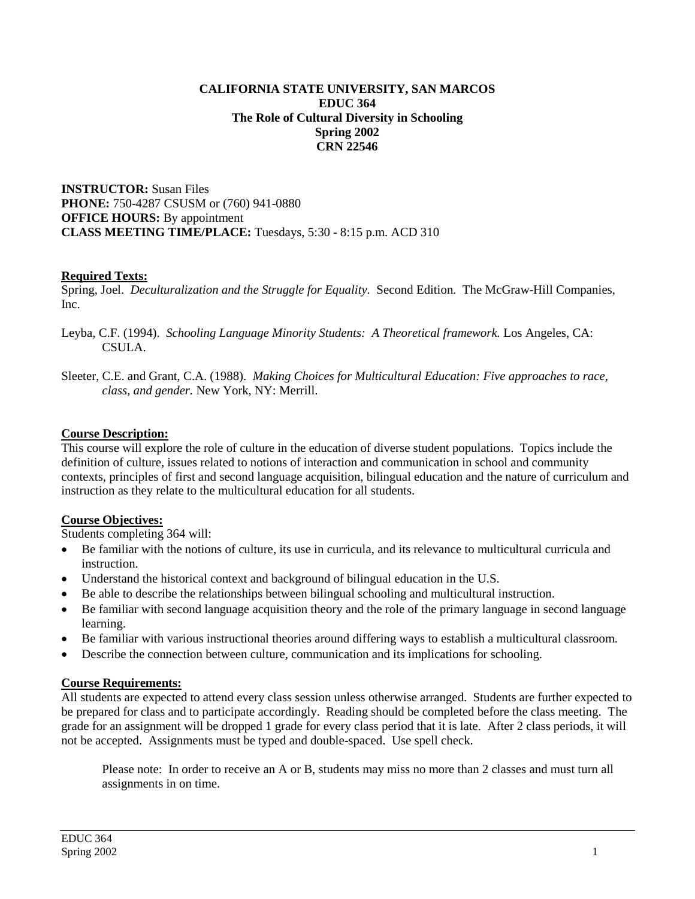#### **CALIFORNIA STATE UNIVERSITY, SAN MARCOS EDUC 364 The Role of Cultural Diversity in Schooling Spring 2002 CRN 22546**

**INSTRUCTOR:** Susan Files **PHONE:** 750-4287 CSUSM or (760) 941-0880 **OFFICE HOURS:** By appointment **CLASS MEETING TIME/PLACE:** Tuesdays, 5:30 - 8:15 p.m. ACD 310

## **Required Texts:**

Spring, Joel. *Deculturalization and the Struggle for Equality.* Second Edition. The McGraw-Hill Companies, Inc.

- Leyba, C.F. (1994). *Schooling Language Minority Students: A Theoretical framework.* Los Angeles, CA: CSULA.
- Sleeter, C.E. and Grant, C.A. (1988). *Making Choices for Multicultural Education: Five approaches to race, class, and gender.* New York, NY: Merrill.

# **Course Description:**

This course will explore the role of culture in the education of diverse student populations. Topics include the definition of culture, issues related to notions of interaction and communication in school and community contexts, principles of first and second language acquisition, bilingual education and the nature of curriculum and instruction as they relate to the multicultural education for all students.

# **Course Objectives:**

Students completing 364 will:

- Be familiar with the notions of culture, its use in curricula, and its relevance to multicultural curricula and instruction.
- Understand the historical context and background of bilingual education in the U.S.
- Be able to describe the relationships between bilingual schooling and multicultural instruction.
- Be familiar with second language acquisition theory and the role of the primary language in second language learning.
- Be familiar with various instructional theories around differing ways to establish a multicultural classroom.
- Describe the connection between culture, communication and its implications for schooling.

# **Course Requirements:**

All students are expected to attend every class session unless otherwise arranged. Students are further expected to be prepared for class and to participate accordingly. Reading should be completed before the class meeting. The grade for an assignment will be dropped 1 grade for every class period that it is late. After 2 class periods, it will not be accepted. Assignments must be typed and double-spaced. Use spell check.

Please note: In order to receive an A or B, students may miss no more than 2 classes and must turn all assignments in on time.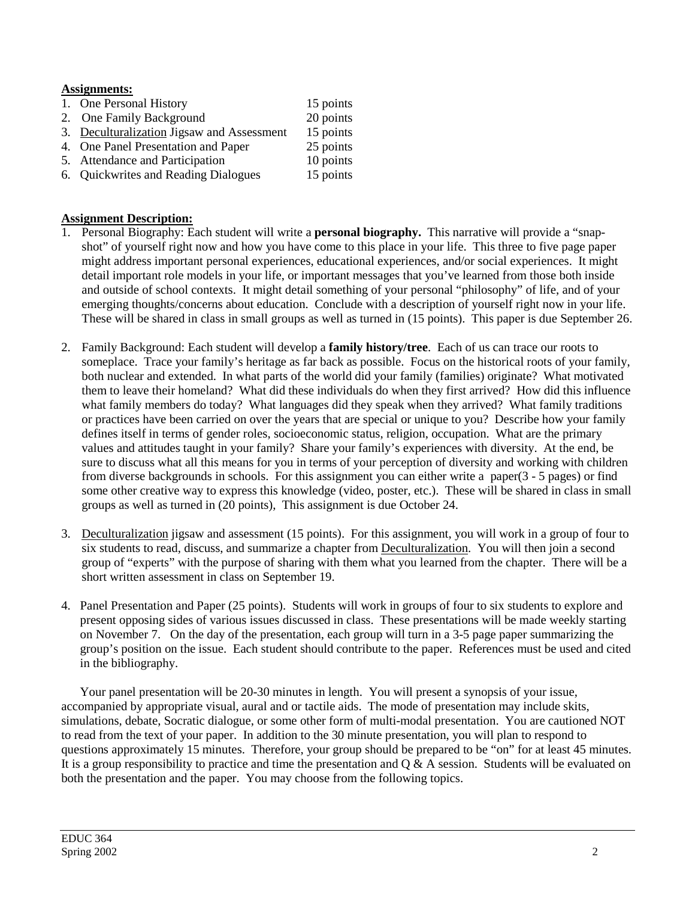## **Assignments:**

- 1. One Personal History 15 points
- 2. One Family Background 20 points<br>
2. Deculturalization Jigsaw and Assessment 15 points
- 3. Deculturalization Jigsaw and Assessment
- 4. One Panel Presentation and Paper 25 points
- 5. Attendance and Participation 10 points<br>6. Quickwrites and Reading Dialogues 15 points
- 6. Quickwrites and Reading Dialogues

## **Assignment Description:**

- 1. Personal Biography: Each student will write a **personal biography.** This narrative will provide a "snapshot" of yourself right now and how you have come to this place in your life. This three to five page paper might address important personal experiences, educational experiences, and/or social experiences. It might detail important role models in your life, or important messages that you've learned from those both inside and outside of school contexts. It might detail something of your personal "philosophy" of life, and of your emerging thoughts/concerns about education. Conclude with a description of yourself right now in your life. These will be shared in class in small groups as well as turned in (15 points). This paper is due September 26.
- 2. Family Background: Each student will develop a **family history/tree**. Each of us can trace our roots to someplace. Trace your family's heritage as far back as possible. Focus on the historical roots of your family, both nuclear and extended. In what parts of the world did your family (families) originate? What motivated them to leave their homeland? What did these individuals do when they first arrived? How did this influence what family members do today? What languages did they speak when they arrived? What family traditions or practices have been carried on over the years that are special or unique to you? Describe how your family defines itself in terms of gender roles, socioeconomic status, religion, occupation. What are the primary values and attitudes taught in your family? Share your family's experiences with diversity. At the end, be sure to discuss what all this means for you in terms of your perception of diversity and working with children from diverse backgrounds in schools. For this assignment you can either write a paper(3 - 5 pages) or find some other creative way to express this knowledge (video, poster, etc.). These will be shared in class in small groups as well as turned in (20 points), This assignment is due October 24.
- 3. Deculturalization jigsaw and assessment (15 points). For this assignment, you will work in a group of four to six students to read, discuss, and summarize a chapter from Deculturalization. You will then join a second group of "experts" with the purpose of sharing with them what you learned from the chapter. There will be a short written assessment in class on September 19.
- 4. Panel Presentation and Paper (25 points). Students will work in groups of four to six students to explore and present opposing sides of various issues discussed in class. These presentations will be made weekly starting on November 7. On the day of the presentation, each group will turn in a 3-5 page paper summarizing the group's position on the issue. Each student should contribute to the paper. References must be used and cited in the bibliography.

 Your panel presentation will be 20-30 minutes in length. You will present a synopsis of your issue, accompanied by appropriate visual, aural and or tactile aids. The mode of presentation may include skits, simulations, debate, Socratic dialogue, or some other form of multi-modal presentation. You are cautioned NOT to read from the text of your paper. In addition to the 30 minute presentation, you will plan to respond to questions approximately 15 minutes. Therefore, your group should be prepared to be "on" for at least 45 minutes. It is a group responsibility to practice and time the presentation and Q & A session. Students will be evaluated on both the presentation and the paper. You may choose from the following topics.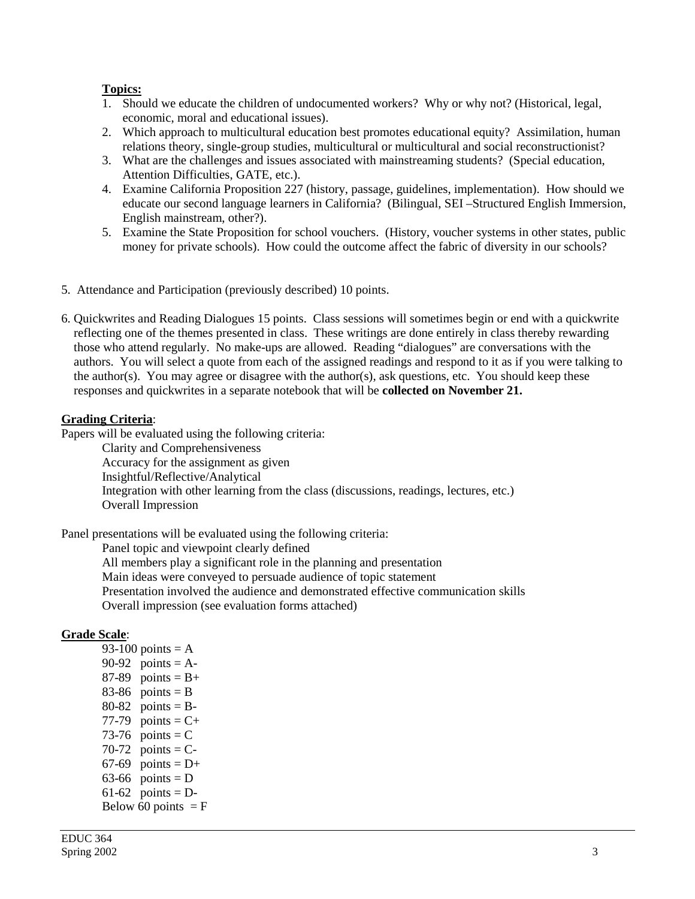### **Topics:**

- 1. Should we educate the children of undocumented workers? Why or why not? (Historical, legal, economic, moral and educational issues).
- 2. Which approach to multicultural education best promotes educational equity? Assimilation, human relations theory, single-group studies, multicultural or multicultural and social reconstructionist?
- 3. What are the challenges and issues associated with mainstreaming students? (Special education, Attention Difficulties, GATE, etc.).
- 4. Examine California Proposition 227 (history, passage, guidelines, implementation). How should we educate our second language learners in California? (Bilingual, SEI –Structured English Immersion, English mainstream, other?).
- 5. Examine the State Proposition for school vouchers. (History, voucher systems in other states, public money for private schools). How could the outcome affect the fabric of diversity in our schools?
- 5. Attendance and Participation (previously described) 10 points.
- 6. Quickwrites and Reading Dialogues 15 points. Class sessions will sometimes begin or end with a quickwrite reflecting one of the themes presented in class. These writings are done entirely in class thereby rewarding those who attend regularly. No make-ups are allowed. Reading "dialogues" are conversations with the authors. You will select a quote from each of the assigned readings and respond to it as if you were talking to the author(s). You may agree or disagree with the author(s), ask questions, etc. You should keep these responses and quickwrites in a separate notebook that will be **collected on November 21.**

#### **Grading Criteria**:

Papers will be evaluated using the following criteria:

Clarity and Comprehensiveness Accuracy for the assignment as given Insightful/Reflective/Analytical Integration with other learning from the class (discussions, readings, lectures, etc.) Overall Impression

Panel presentations will be evaluated using the following criteria:

Panel topic and viewpoint clearly defined All members play a significant role in the planning and presentation Main ideas were conveyed to persuade audience of topic statement Presentation involved the audience and demonstrated effective communication skills Overall impression (see evaluation forms attached)

### **Grade Scale**:

93-100 points  $= A$ 90-92 points =  $A$ - $87-89$  points = B+ 83-86 points =  $B$  $80-82$  points = B-77-79 points  $= C+$ 73-76 points  $= C$ 70-72 points  $=$  C-67-69 points  $= D+$ 63-66 points =  $D$ 61-62 points =  $D$ -Below 60 points  $=$  F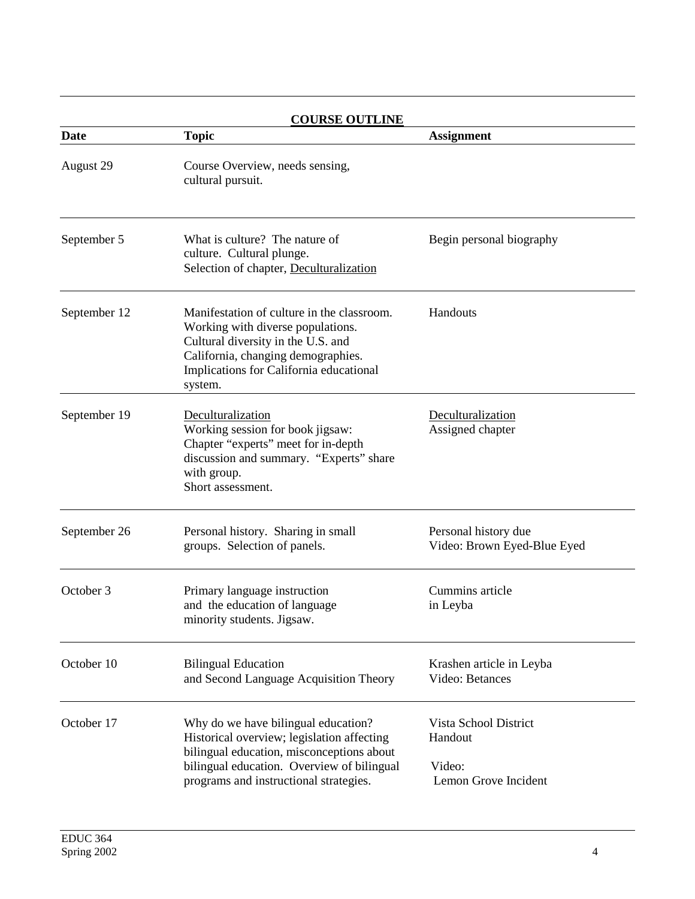| <b>COURSE OUTLINE</b> |                                                                                                                                                                                                                        |                                                                    |  |
|-----------------------|------------------------------------------------------------------------------------------------------------------------------------------------------------------------------------------------------------------------|--------------------------------------------------------------------|--|
| Date                  | <b>Topic</b>                                                                                                                                                                                                           | <b>Assignment</b>                                                  |  |
| August 29             | Course Overview, needs sensing,<br>cultural pursuit.                                                                                                                                                                   |                                                                    |  |
| September 5           | What is culture? The nature of<br>culture. Cultural plunge.<br>Selection of chapter, Deculturalization                                                                                                                 | Begin personal biography                                           |  |
| September 12          | Manifestation of culture in the classroom.<br>Working with diverse populations.<br>Cultural diversity in the U.S. and<br>California, changing demographies.<br>Implications for California educational<br>system.      | Handouts                                                           |  |
| September 19          | Deculturalization<br>Working session for book jigsaw:<br>Chapter "experts" meet for in-depth<br>discussion and summary. "Experts" share<br>with group.<br>Short assessment.                                            | Deculturalization<br>Assigned chapter                              |  |
| September 26          | Personal history. Sharing in small<br>groups. Selection of panels.                                                                                                                                                     | Personal history due<br>Video: Brown Eyed-Blue Eyed                |  |
| October 3             | Primary language instruction<br>and the education of language<br>minority students. Jigsaw.                                                                                                                            | Cummins article<br>in Leyba                                        |  |
| October 10            | <b>Bilingual Education</b><br>and Second Language Acquisition Theory                                                                                                                                                   | Krashen article in Leyba<br>Video: Betances                        |  |
| October 17            | Why do we have bilingual education?<br>Historical overview; legislation affecting<br>bilingual education, misconceptions about<br>bilingual education. Overview of bilingual<br>programs and instructional strategies. | Vista School District<br>Handout<br>Video:<br>Lemon Grove Incident |  |